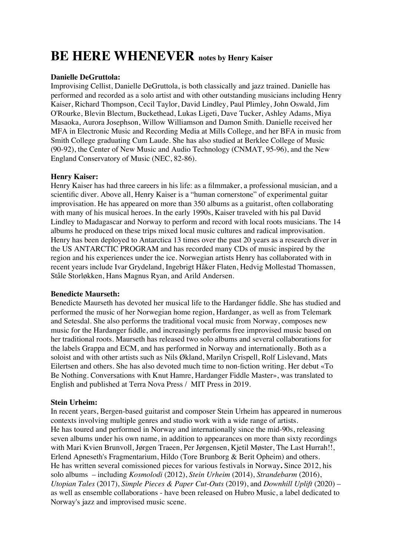# **BE HERE WHENEVER notes by Henry Kaiser**

### **Danielle DeGruttola:**

Improvising Cellist, Danielle DeGruttola, is both classically and jazz trained. Danielle has performed and recorded as a solo artist and with other outstanding musicians including Henry Kaiser, Richard Thompson, Cecil Taylor, David Lindley, Paul Plimley, John Oswald, Jim O'Rourke, Blevin Blectum, Buckethead, Lukas Ligeti, Dave Tucker, Ashley Adams, Miya Masaoka, Aurora Josephson, Willow Williamson and Damon Smith. Danielle received her MFA in Electronic Music and Recording Media at Mills College, and her BFA in music from Smith College graduating Cum Laude. She has also studied at Berklee College of Music (90-92), the Center of New Music and Audio Technology (CNMAT, 95-96), and the New England Conservatory of Music (NEC, 82-86).

#### **Henry Kaiser:**

Henry Kaiser has had three careers in his life: as a filmmaker, a professional musician, and a scientific diver. Above all, Henry Kaiser is a "human cornerstone" of experimental guitar improvisation. He has appeared on more than 350 albums as a guitarist, often collaborating with many of his musical heroes. In the early 1990s, Kaiser traveled with his pal David Lindley to Madagascar and Norway to perform and record with local roots musicians. The 14 albums he produced on these trips mixed local music cultures and radical improvisation. Henry has been deployed to Antarctica 13 times over the past 20 years as a research diver in the US ANTARCTIC PROGRAM and has recorded many CDs of music inspired by the region and his experiences under the ice. Norwegian artists Henry has collaborated with in recent years include Ivar Grydeland, Ingebrigt Håker Flaten, Hedvig Mollestad Thomassen, Ståle Storløkken, Hans Magnus Ryan, and Arild Andersen.

#### **Benedicte Maurseth:**

Benedicte Maurseth has devoted her musical life to the Hardanger fiddle. She has studied and performed the music of her Norwegian home region, Hardanger, as well as from Telemark and Setesdal. She also performs the traditional vocal music from Norway, composes new music for the Hardanger fiddle, and increasingly performs free improvised music based on her traditional roots. Maurseth has released two solo albums and several collaborations for the labels Grappa and ECM, and has performed in Norway and internationally. Both as a soloist and with other artists such as Nils Økland, Marilyn Crispell, Rolf Lislevand, Mats Eilertsen and others. She has also devoted much time to non-fiction writing. Her debut «To Be Nothing. Conversations with Knut Hamre, Hardanger Fiddle Master», was translated to English and published at Terra Nova Press / MIT Press in 2019.

#### **Stein Urheim:**

In recent years, Bergen-based guitarist and composer Stein Urheim has appeared in numerous contexts involving multiple genres and studio work with a wide range of artists. He has toured and performed in Norway and internationally since the mid-90s, releasing seven albums under his own name, in addition to appearances on more than sixty recordings with Mari Kvien Brunvoll, Jørgen Traeen, Per Jørgensen, Kjetil Møster, The Last Hurrah!!, Erlend Apneseth's Fragmentarium, Hildo (Tore Brunborg & Berit Opheim) and others. He has written several comissioned pieces for various festivals in Norway**.** Since 2012, his solo albums – including *Kosmolodi* (2012), *Stein Urheim* (2014), *Strandebarm* (2016), *Utopian Tales* (2017), *Simple Pieces & Paper Cut-Outs* (2019), and *Downhill Uplift* (2020) – as well as ensemble collaborations - have been released on Hubro Music, a label dedicated to Norway's jazz and improvised music scene.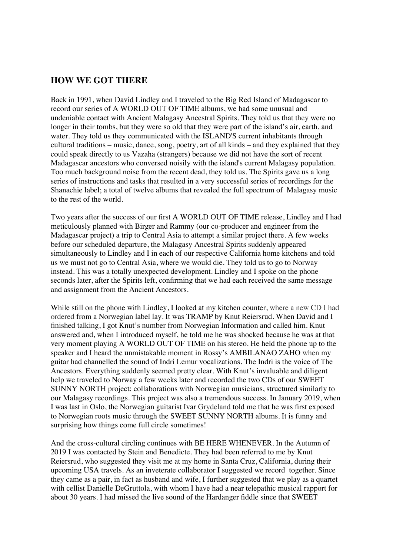## **HOW WE GOT THERE**

Back in 1991, when David Lindley and I traveled to the Big Red Island of Madagascar to record our series of A WORLD OUT OF TIME albums, we had some unusual and undeniable contact with Ancient Malagasy Ancestral Spirits. They told us that they were no longer in their tombs, but they were so old that they were part of the island's air, earth, and water. They told us they communicated with the ISLAND'S current inhabitants through cultural traditions – music, dance, song, poetry, art of all kinds – and they explained that they could speak directly to us Vazaha (strangers) because we did not have the sort of recent Madagascar ancestors who conversed noisily with the island's current Malagasy population. Too much background noise from the recent dead, they told us. The Spirits gave us a long series of instructions and tasks that resulted in a very successful series of recordings for the Shanachie label; a total of twelve albums that revealed the full spectrum of Malagasy music to the rest of the world.

Two years after the success of our first A WORLD OUT OF TIME release, Lindley and I had meticulously planned with Birger and Rammy (our co-producer and engineer from the Madagascar project) a trip to Central Asia to attempt a similar project there. A few weeks before our scheduled departure, the Malagasy Ancestral Spirits suddenly appeared simultaneously to Lindley and I in each of our respective California home kitchens and told us we must not go to Central Asia, where we would die. They told us to go to Norway instead. This was a totally unexpected development. Lindley and I spoke on the phone seconds later, after the Spirits left, confirming that we had each received the same message and assignment from the Ancient Ancestors.

While still on the phone with Lindley, I looked at my kitchen counter, where a new CD I had ordered from a Norwegian label lay. It was TRAMP by Knut Reiersrud. When David and I finished talking, I got Knut's number from Norwegian Information and called him. Knut answered and, when I introduced myself, he told me he was shocked because he was at that very moment playing A WORLD OUT OF TIME on his stereo. He held the phone up to the speaker and I heard the unmistakable moment in Rossy's AMBILANAO ZAHO when my guitar had channelled the sound of Indri Lemur vocalizations. The Indri is the voice of The Ancestors. Everything suddenly seemed pretty clear. With Knut's invaluable and diligent help we traveled to Norway a few weeks later and recorded the two CDs of our SWEET SUNNY NORTH project: collaborations with Norwegian musicians, structured similarly to our Malagasy recordings. This project was also a tremendous success. In January 2019, when I was last in Oslo, the Norwegian guitarist Ivar Grydeland told me that he was first exposed to Norwegian roots music through the SWEET SUNNY NORTH albums. It is funny and surprising how things come full circle sometimes!

And the cross-cultural circling continues with BE HERE WHENEVER. In the Autumn of 2019 I was contacted by Stein and Benedicte. They had been referred to me by Knut Reiersrud, who suggested they visit me at my home in Santa Cruz, California, during their upcoming USA travels. As an inveterate collaborator I suggested we record together. Since they came as a pair, in fact as husband and wife, I further suggested that we play as a quartet with cellist Danielle DeGruttola, with whom I have had a near telepathic musical rapport for about 30 years. I had missed the live sound of the Hardanger fiddle since that SWEET